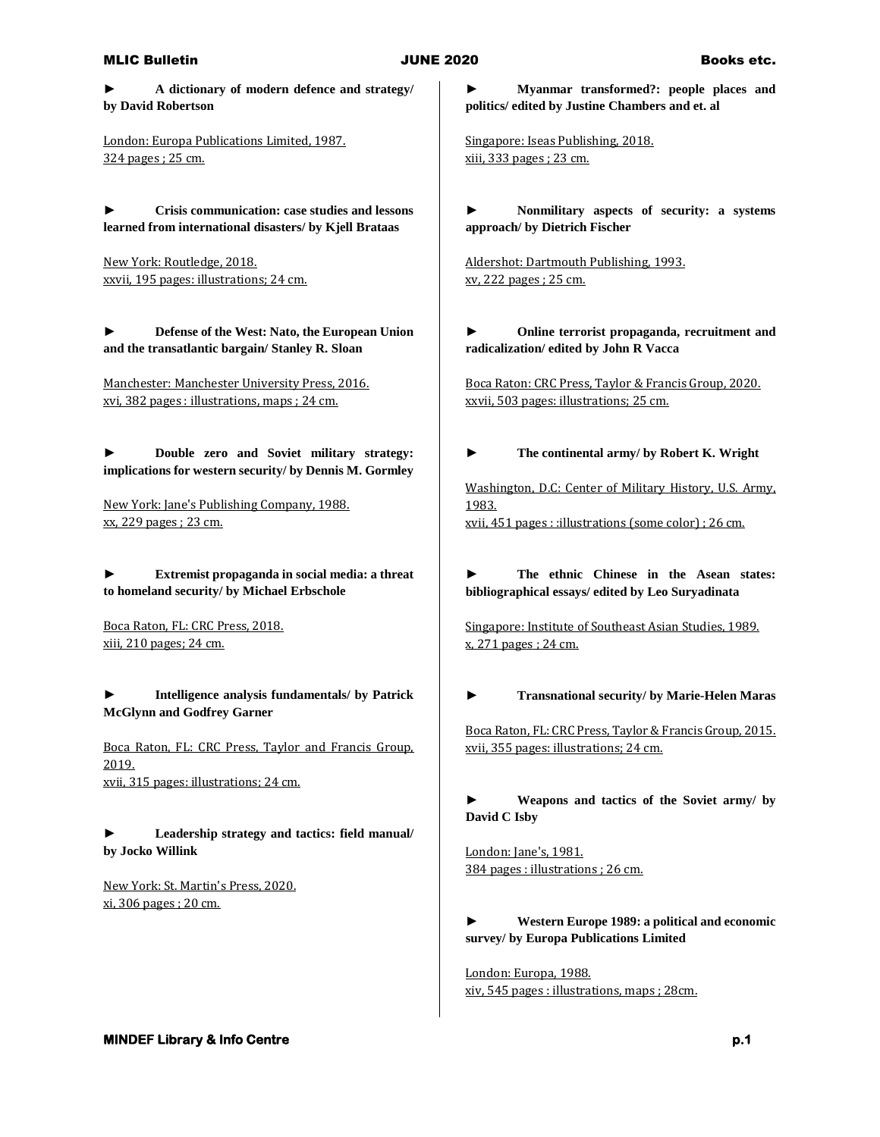## MLIC Bulletin **Books etc. JUNE 2020** Books etc.

**► A dictionary of modern defence and strategy/ by David Robertson**

London: Europa Publications Limited, 1987. 324 pages ; 25 cm.

**► Crisis communication: case studies and lessons learned from international disasters/ by Kjell Brataas**

New York: Routledge, 2018. xxvii, 195 pages: illustrations; 24 cm.

**► Defense of the West: Nato, the European Union and the transatlantic bargain/ Stanley R. Sloan**

Manchester: Manchester University Press, 2016. xvi, 382 pages : illustrations, maps ; 24 cm.

**► Double zero and Soviet military strategy: implications for western security/ by Dennis M. Gormley**

New York: Jane's Publishing Company, 1988. xx, 229 pages ; 23 cm.

**► Extremist propaganda in social media: a threat to homeland security/ by Michael Erbschole**

Boca Raton, FL: CRC Press, 2018. xiii, 210 pages; 24 cm.

**► Intelligence analysis fundamentals/ by Patrick McGlynn and Godfrey Garner**

Boca Raton, FL: CRC Press, Taylor and Francis Group, 2019. xvii, 315 pages: illustrations; 24 cm.

**► Leadership strategy and tactics: field manual/ by Jocko Willink**

New York: St. Martin's Press, 2020. xi, 306 pages ; 20 cm.

**► Myanmar transformed?: people places and politics/ edited by Justine Chambers and et. al**

Singapore: Iseas Publishing, 2018. xiii, 333 pages ; 23 cm.

**► Nonmilitary aspects of security: a systems approach/ by Dietrich Fischer**

Aldershot: Dartmouth Publishing, 1993. xv, 222 pages ; 25 cm.

**► Online terrorist propaganda, recruitment and radicalization/ edited by John R Vacca**

Boca Raton: CRC Press, Taylor & Francis Group, 2020. xxvii, 503 pages: illustrations; 25 cm.

**► The continental army/ by Robert K. Wright**

Washington, D.C: Center of Military History, U.S. Army, 1983. xvii, 451 pages : :illustrations (some color) ; 26 cm.

**► The ethnic Chinese in the Asean states: bibliographical essays/ edited by Leo Suryadinata**

Singapore: Institute of Southeast Asian Studies, 1989. x, 271 pages ; 24 cm.

**► Transnational security/ by Marie-Helen Maras**

Boca Raton, FL: CRC Press, Taylor & Francis Group, 2015. xvii, 355 pages: illustrations; 24 cm.

**► Weapons and tactics of the Soviet army/ by David C Isby**

London: Jane's, 1981. 384 pages : illustrations ; 26 cm.

## **► Western Europe 1989: a political and economic survey/ by Europa Publications Limited**

London: Europa, 1988. xiv, 545 pages : illustrations, maps ; 28cm.

**MINDEF Library & Info Centre p.1** *p.1* **<b>p.1** *p.1*